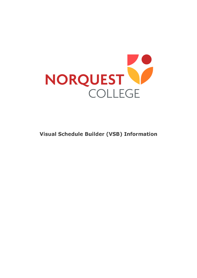

**Visual Schedule Builder (VSB) Information**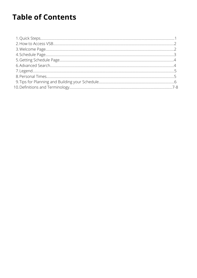# **Table of Contents**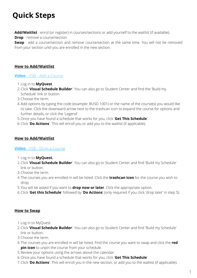# **Quick Steps**

**Add/Waitlist** - enrol (or register) in courses/sections or add yourself to the waitlist (if available). **Drop** - remove a course/section.

**Swap** - add a course/section and remove course/section at the same time. You will not be removed from your section until you are enrolled in the new section.

#### **How to Add/Waitlist**

#### **[Video](https://www.youtube.com/watch?v=zQ8Ek0iMT5I&t=45s)** [- VSB - Add a Course](https://www.youtube.com/watch?v=zQ8Ek0iMT5I&t=45s)

- Log in to **[MyQuest](https://campus.norquest.ca/psp/campus/?cmd=login)**. 1.
- Click '**Visual Schedule Builder**'. You can also go to Student Center and find the 'Build my 2. Schedule' link or button.
- 3. Choose the term.
- 4.Add options by typing the code (example: BUSD 1001) or the name of the course(s) you would like to take. Click the downward arrow next to the trashcan icon to expand the course for options and further details, or click the 'Legend'.
- Once you have found a schedule that works for you, click '**Get This Schedule**'. 5.
- Click '**Do Actions**'. This will enroll you or add you to the waitlist (if applicable). 6.

#### **How to Add/Waitlist**

#### **[Video](https://www.youtube.com/watch?v=JT1bhFkOpmY&t=37s)** [- VSB - Drop a Course](https://www.youtube.com/watch?v=JT1bhFkOpmY&t=37s)

- Log in to **[MyQuest](https://campus.norquest.ca/psp/campus/?cmd=login).** 1.
- Click '**Visual Schedule Builder**'. You can also go to Student Center and find 'Build my Schedule' 2. link or button.
- 3. Choose the term.
- The courses you are enrolled in will be listed. Click the **trashcan icon** for the course you wish to 4. drop.
- You will be asked if you want to **drop now or later**. Click the appropriate option. 5.
- Click '**Get this Schedule**' followed by '**Do Actions**' (only required if you click 'drop later' in step 5). 6.

#### **How to Swap**

- 1. Log in to [MyQuest.](https://campus.norquest.ca/psp/campus/?cmd=login)
- Click '**Visual Schedule Builder**'. You can also go to Student Center and find 'Build my Schedule' 2. link or button.
- 3. Choose the term.
- The courses you are enrolled in will be listed. Find the course you want to swap and click the **red** 4. **pin icon** to unpin the course from your schedule.
- 5. Review your options using the arrows above the calendar.
- Once you have found a schedule that works for you, click '**Get This Schedule**'. 6.
- Click '**Do Actions**'. This will enroll you in the new section, or add you to the waitlist (if applicable). 7.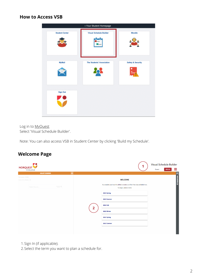#### **How to Access VSB**



Log in to **[MyQuest](https://campus.norquest.ca/psp/campus/?cmd=login)** Select 'Visual Schedule Builder'.

Note: You can also access VSB in Student Center by clicking 'Build my Schedule'.

## **Welcome Page**

| 50<br>NORQUEST                              |                                                                                                               | Visual Schedule Builder<br>≡<br>Guest<br><b>SIGN IN</b> |
|---------------------------------------------|---------------------------------------------------------------------------------------------------------------|---------------------------------------------------------|
| $\ll$<br><b>SELECT COURSES</b>              |                                                                                                               |                                                         |
| Campuses: All (6)<br>Instruction Modes: All | <b>WELCOME</b>                                                                                                | EAVOURITES (0)                                          |
| Advanced $Q$<br>Select Course               | As a student, you have the ability to create a conflict-free class schedule here.<br>To begin, select a term: |                                                         |
|                                             | 2021 Spring                                                                                                   |                                                         |
|                                             | 2021 Summer                                                                                                   |                                                         |
|                                             | <b>2021 Fall</b><br>2                                                                                         |                                                         |
|                                             | 2022 Winter                                                                                                   |                                                         |
|                                             | 2022 Spring                                                                                                   |                                                         |
|                                             | 2022 Summer                                                                                                   |                                                         |
|                                             |                                                                                                               |                                                         |

1. Sign In (if applicable).

2. Select the term you want to plan a schedule for.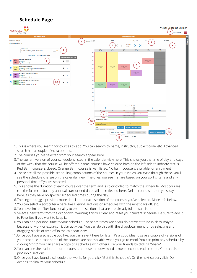## **Schedule Page**



- This is where you search for courses to add. You can search by name, instructor, subject code, etc. Advanced 1. search has a couple of extra options.
- 2.The courses you've selected from your search appear here.
- The current version of your schedule is listed in the calendar view here. This shows you the time of day and days 3. of the week that the course will be offered. Some courses have colored bars on the left side to indicate status: Red Bar = course is closed, Orange Bar = course is wait listed, No bar = course is available for enrolment
- These are all the possible scheduling combinations of the courses in your list. As you cycle through these, you'll 4. see the schedule change on the calendar view. The ones you see first are based on your sort criteria and any personal time off you've selected.
- This shows the duration of each course over the term and is color coded to match the schedule. Most courses 5. run the full term, but any unusual start or end dates will be reflected here. Online courses are only displayed here, as they have no specific scheduled times during the day.
- The Legend toggle provides more detail about each section of the courses you've selected. More info below. 6.
- 7.You can select a sort criteria here, like Evening sections or schedules with the most days off, etc.
- You have limited filter functionality to exclude sections that are are already full or wait listed. 8.
- Select a new term from the dropdown. Warning, this will clear and reset your current schedule. Be sure to add it 9. to Favorites if you want to keep it.
- 10. You can add personal time to your schedule. These are times when you do not want to be in class, maybe because of work or extra-curricular activities. You can do this with the dropdown menu or by selecting and dragging blocks of time off in the calendar view.
- 11.Once you have a schedule you like, you can save it here for later. It's a good idea to save a couple of versions of your schedule in case some of the courses are not available when you go to enrol. You can print any schedule by clicking "Print". You can share a copy of a schedule with others like your friends by clicking "Share".
- 12. You can use the trashcan to drop courses and use the downward arrow to expand each course. You can also pin/unpin sections.
- 13. Once you have found a schedule that works for you, click "Get this Schedule". On the next screen, click 'Do Actions' to finalize your schedule.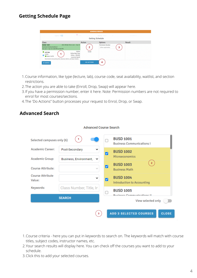### **Getting Schedule Page**

| <b>SCHEDULE RESULTS</b>                                                                                                                                                                                                |                                                                                                                                          |                                                  |             |  |  |  |  |
|------------------------------------------------------------------------------------------------------------------------------------------------------------------------------------------------------------------------|------------------------------------------------------------------------------------------------------------------------------------------|--------------------------------------------------|-------------|--|--|--|--|
| Legend <b>Company</b>                                                                                                                                                                                                  | $\bullet$ $\bullet$ $\bullet$                                                                                                            | Sort by: Select<br>56<br><b>Getting Schedule</b> | FILTERS (1) |  |  |  |  |
| <b>Class</b>                                                                                                                                                                                                           | <b>Action</b>                                                                                                                            | <b>Options</b>                                   | Result      |  |  |  |  |
| <b>BUSD 1001</b><br><b>Business Communications I</b><br>Tue Jan 5 - Apr 23: 6:00 PM to 9:00 PM<br>$C$ LEC E06<br>12254<br>$\bullet$<br>Seats: 24/30<br>Restricted to Accounting Tech, Business Admin, and Open Studies | 2021 Winter Term: Jan 4 - Apr 23<br>2<br>Online<br>Enroll<br><b>Online Real Time</b><br><b>Online - ONLINE</b><br><b>Laurenne Spratt</b> | <b>Permission Number</b><br>(When applicable)    | ٦           |  |  |  |  |
| <b>4 CANCEL</b>                                                                                                                                                                                                        | <b>DO ACTIONS</b>                                                                                                                        | 4                                                |             |  |  |  |  |

- Course information, like type (lecture, lab), course code, seat availability, waitlist, and section 1. restrictions.
- 2.The action you are able to take (Enroll, Drop, Swap) will appear here.
- If you have a permission number, enter it here. Note: Permission numbers are not required to 3. enrol for most courses/sections.

**Advanced Course Search** 

The 'Do Actions" button processes your request to Enrol, Drop, or Swap. 4.

### **Advanced Search**

| Selected campuses only (6)        | $\mathbf{1}$               |   | <b>BUSD 1001</b><br><b>Business Communications I</b>                 |              |  |
|-----------------------------------|----------------------------|---|----------------------------------------------------------------------|--------------|--|
| <b>Academic Career:</b>           | Post-Secondary             |   | <b>BUSD 1002</b><br>Microeconomics                                   |              |  |
| <b>Academic Group:</b>            | Business, Environment, ↓ ↓ |   | $\overline{2}$                                                       |              |  |
| Course Attribute:                 | $\sim$                     | ⊽ | <b>BUSD 1003</b><br><b>Business Math</b>                             |              |  |
| <b>Course Attribute</b><br>Value: | $\check{ }$                |   | <b>BUSD 1004</b><br><b>Introduction to Accounting</b>                |              |  |
| Keywords:                         | Class Number, Title, In    |   | <b>BUSD 1005</b>                                                     |              |  |
|                                   |                            |   | <b><i><u><u><u><b>Rucinoce Communications II</b></u></u></u></i></b> |              |  |
| <b>SEARCH</b>                     |                            |   | View selected only                                                   |              |  |
|                                   |                            |   |                                                                      |              |  |
|                                   | 3 <sup>7</sup>             |   | <b>ADD 3 SELECTED COURSES</b>                                        | <b>CLOSE</b> |  |

- Course criteria here you can put in keywords to search on. The keywords will match with course 1. titles, subject codes, instructor names, etc.
- Your search results will display here. You can check off the courses you want to add to your 2. schedule.
- 3. Click this to add your selected courses.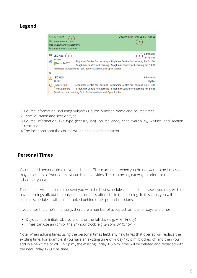## **Legend**



- Course information, including Subject / Course number, Name and course times. 1.
- 2.Term, duration and session type.
- 3.Course information, like type (lecture, lab), course code, seat availability, waitlist, and section restrictions.
- The location/room the course will be held in and instructor. 4.

### **Personal Times**

You can add personal time to your schedule. These are times when you do not want to be in class, maybe because of work or extra-curricular activities. This can be a great way to prioritize the schedules you want.

These times will be used to present you with the best schedules first. In some cases, you may wish to have mornings off, but the only time a course is offered is in the morning. In this case, you will still see this schedule, it will just be ranked behind other potential options.

If you enter the time(s) manually, there are a number of accepted formats for days and times

- Days can use initials, abbreviations, or the full day ( e.g. F, Fri, Friday)
- Times can use am/pm or the 24-hour clock (e.g. 2-9pm, 8-10, 15-17)

Note: When adding times using the personal times field, any new times that overlap will replace the existing time. For example, if you have an existing time of Friday 1-5 p.m. blocked off and then you add in a new time of WF 12-3 p.m., the existing Friday 1-5.p.m. time will be deleted and replaced with the new Friday 12-3 p.m. time.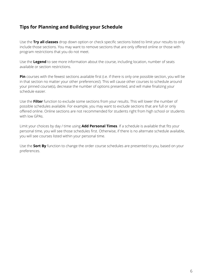## **Tips for Planning and Building your Schedule**

Use the **Try all classes** drop down option or check specific sections listed to limit your results to only include those sections. You may want to remove sections that are only offered online or those with program restrictions that you do not meet.

Use the **Legend** to see more information about the course, including location, number of seats available or section restrictions.

**Pin** courses with the fewest sections available first (i.e. if there is only one possible section, you will be in that section no matter your other preferences!). This will cause other courses to schedule around your pinned course(s), decrease the number of options presented, and will make finalizing your schedule easier.

Use the **Filter** function to exclude some sections from your results. This will lower the number of possible schedules available. For example, you may want to exclude sections that are full or only offered online. Online sections are not recommended for students right from high school or students with low GPAs

Limit your choices by day / time using **Add Personal Times**. If a schedule is available that fits your personal time, you will see those schedules first. Otherwise, if there is no alternate schedule available, you will see courses listed within your personal time.

Use the **Sort By** function to change the order course schedules are presented to you, based on your preferences.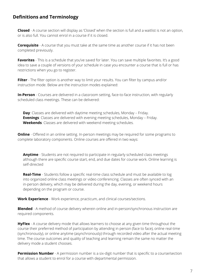## **Definitions and Terminology**

**Closed** - A course section will display as 'Closed' when the section is full and a waitlist is not an option, or is also full. You cannot enrol in a course if it is closed.

**Corequisite** - A course that you must take at the same time as another course if it has not been completed previously.

Favorites - This is a schedule that you've saved for later. You can save multiple favorites. It's a good idea to save a couple of versions of your schedule in case you encounter a course that is full or has restrictions when you go to register.

Filter - The filter option is another way to limit your results. You can filter by campus and/or instruction mode. Below are the instruction modes explained:

**In-Person** - Courses are delivered in a classroom setting, face-to-face instruction, with regularly scheduled class meetings. These can be delivered:

**Day**: Classes are delivered with daytime meeting schedules, Monday – Friday. **Evenings**: Classes are delivered with evening meeting schedules, Monday – Friday. **Weekends**: Classes are delivered with weekend meeting schedules.

**Online** - Offered in an online setting. In-person meetings may be required for some programs to complete laboratory components. Online courses are offered in two ways:

**Anytime** - Students are not required to participate in regularly scheduled class meetings although there are specific course start, end, and due dates for course work. Online learning is self-directed

**Real-Time** - Students follow a specific real-time class schedule and must be available to log into organized online class meetings or video conferencing. Classes are often synced with an in-person delivery, which may be delivered during the day, evening, or weekend hours depending on the program or course.

**Work Experience** - Work experience, practicum, and clinical courses/sections.

**Blended** - A method of course delivery wherein online and in-person/synchronous instruction are required components.

**HyFlex** - A course delivery mode that allows learners to choose at any given time throughout the course their preferred method of participation by attending in person (face to face), online real-time (synchronously), or online anytime (asynchronously) through recorded video after the actual meeting time. The course outcomes and quality of teaching and learning remain the same no matter the delivery mode a student chooses.

**Permission Number** - A permission number is a six-digit number that is specific to a course/section that allows a student to enrol for a course with departmental permission.